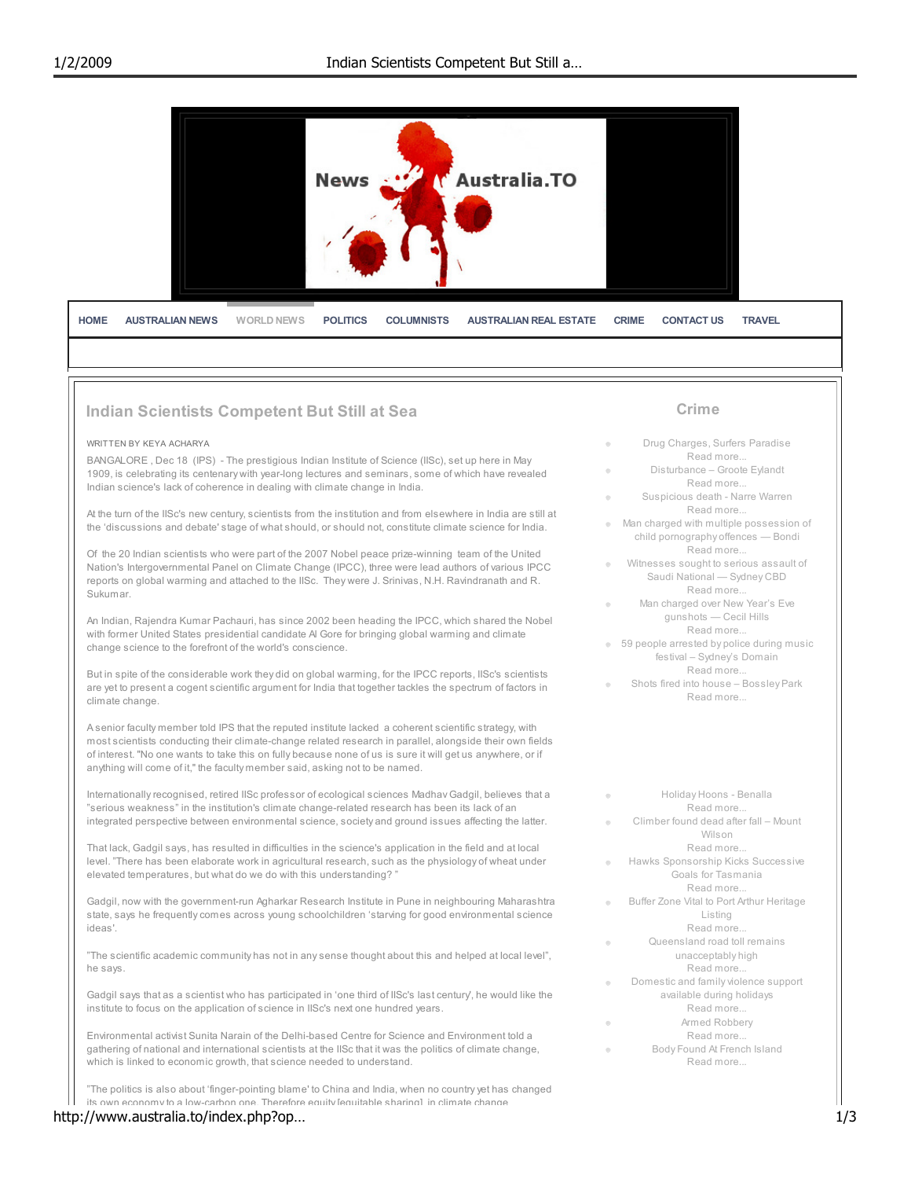

of interest. ''No one wants to take this on fully because none of us is sure it will get us anywhere, or if anything will come of it," the faculty member said, asking not to be named. Internationally recognised, retired IISc professor of ecological sciences Madhav Gadgil, believes that a

"serious weakness" in the institution's climate change-related research has been its lack of an integrated perspective between environmental science, society and ground issues affecting the latter.

That lack, Gadgil says, has resulted in difficulties in the science's application in the field and at local level. "There has been elaborate work in agricultural research, such as the physiology of wheat under elevated temperatures, but what do we do with this understanding? "

Gadgil, now with the government-run Agharkar Research Institute in Pune in neighbouring Maharashtra state, says he frequently comes across young schoolchildren 'starving for good environmental science ideas'.

"The scientific academic community has not in any sense thought about this and helped at local level", he says.

Gadgil says that as a scientist who has participated in 'one third of IISc's last century', he would like the institute to focus on the application of science in IISc's next one hundred years.

Environmental activist Sunita Narain of the Delhi-based Centre for Science and Environment told a gathering of national and international scientists at the IISc that it was the politics of climate change, which is linked to economic growth, that science needed to understand.

"The politics is also about 'finger-pointing blame' to China and India, when no country yet has changed its own economy to a low-carbon one. Therefore equity [equitable sharing] in climate change

### http://www.australia.to/index.php?op… 1/3

- Holiday Hoons Benalla  $\circ$ Read more...
- Climber found dead after fall Mount Wilson
	- Read more...
- Hawks Sponsorship Kicks Successive  $\circ$ Goals for Tasmania Read more.
- Buffer Zone Vital to Port Arthur Heritage Listing
	- Read more...
- Queensland road toll remains unacceptably high Read more.
- Domestic and family violence support available during holidays Read more...
- Armed Robbery  $\otimes$ Read more.
- Body Found At French Island Read more...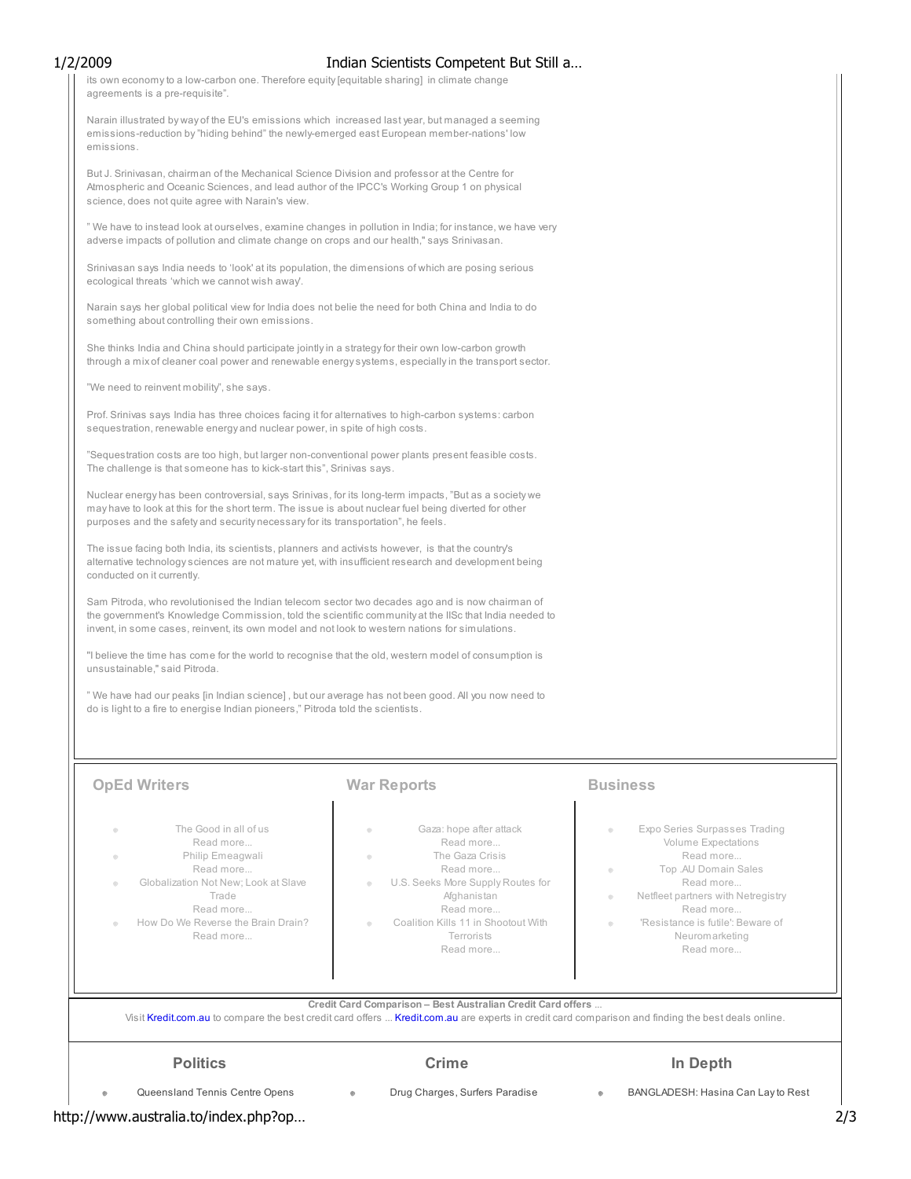its own economy to a low-carbon one. Therefore equity [equitable sharing] in climate change agreements is a pre-requisite". Narain illustrated by way of the EU's emissions which increased last year, but managed a seeming emissions-reduction by "hiding behind" the newly-emerged east European member-nations' low emissions. But J. Srinivasan, chairman of the Mechanical Science Division and professor at the Centre for Atmospheric and Oceanic Sciences, and lead author of the IPCC's Working Group 1 on physical science, does not quite agree with Narain's view. " We have to instead look at ourselves, examine changes in pollution in India; for instance, we have very adverse impacts of pollution and climate change on crops and our health," says Srinivasan. Srinivasan says India needs to 'look' at its population, the dimensions of which are posing serious ecological threats 'which we cannot wish away'. 1/2/2009 Indian Scientists Competent But Still a…

Narain says her global political view for India does not belie the need for both China and India to do something about controlling their own emissions.

She thinks India and China should participate jointly in a strategy for their own low-carbon growth through a mix of cleaner coal power and renewable energy systems, especially in the transport sector.

"We need to reinvent mobility", she says.

Prof. Srinivas says India has three choices facing it for alternatives to high-carbon systems: carbon sequestration, renewable energy and nuclear power, in spite of high costs.

"Sequestration costs are too high, but larger non-conventional power plants present feasible costs. The challenge is that someone has to kick-start this", Srinivas says.

Nuclear energy has been controversial, says Srinivas, for its long-term impacts, "But as a society we may have to look at this for the short term. The issue is about nuclear fuel being diverted for other purposes and the safety and security necessary for its transportation", he feels.

The issue facing both India, its scientists, planners and activists however, is that the country's alternative technology sciences are not mature yet, with insufficient research and development being conducted on it currently.

Sam Pitroda, who revolutionised the Indian telecom sector two decades ago and is now chairman of the government's Knowledge Commission, told the scientific community at the IISc that India needed to invent, in some cases, reinvent, its own model and not look to western nations for simulations.

''I believe the time has come for the world to recognise that the old, western model of consumption is unsustainable,'' said Pitroda.

" We have had our peaks [in Indian science] , but our average has not been good. All you now need to do is light to a fire to energise Indian pioneers," Pitroda told the scientists.

# **OpEd Writers Community Community Community Community Community Community Community Community Community Community**

- The Good in all of us
- Read more... Philip Emeagwali
- Read more...
- Globalization Not New; Look at Slave Trade Read more...
- How Do We Reverse the Brain Drain? Read more...

- Gaza: hope after attack Read more...
- The Gaza Crisis Read more...
- U.S. Seeks More Supply Routes for **Afghanistan**
- Read more... Coalition Kills 11 in Shootout With
	- Read more...

# **Terrorists**

 $\bullet$ 

- Expo Series Surpasses Trading Volume Expectations Read more... Top .AU Domain Sales  $\otimes$
- Read more...
- Netfleet partners with Netregistry  $^\circ$ Read more... 'Resistance is futile': Beware of
	- Neuromarketing Read more...

Credit Card Comparison – Best Australian Credit Card offers ...

Visit Kredit.com.au to compare the best credit card offers ... Kredit.com.au are experts in credit card comparison and finding the best deals online.

### **Politics**

### Crime

# In Depth

Queensland Tennis Centre Opens

Drug Charges, Surfers Paradise

 $\qquad \qquad \circ$ 

BANGLADESH: Hasina Can Lay to Rest

http://www.australia.to/index.php?op… 2/3